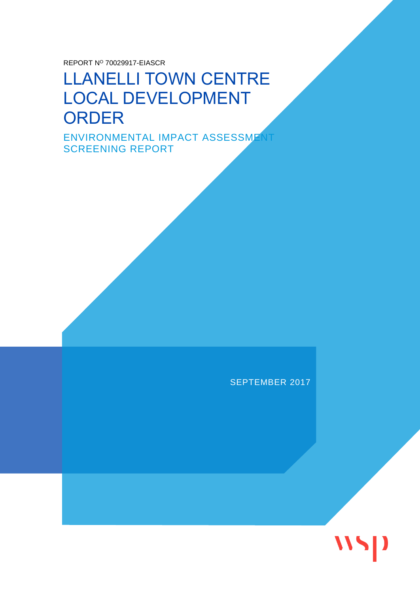REPORT N<sup>O</sup> 70029917-EIASCR

## LLANELLI TOWN CENTRE LOCAL DEVELOPMENT **ORDER**

ENVIRONMENTAL IMPACT ASSESSMENT SCREENING REPORT

#### SEPTEMBER 2017

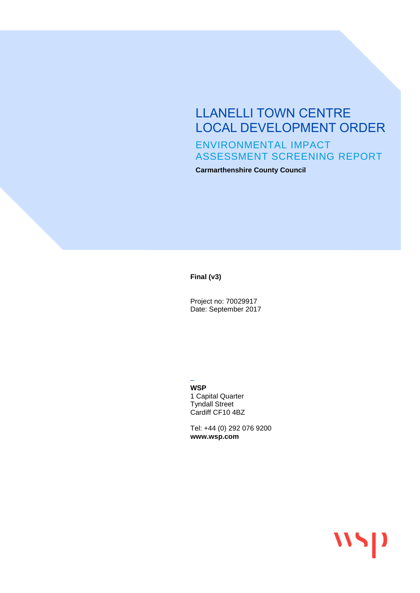### LLANELLI TOWN CENTRE LOCAL DEVELOPMENT ORDER ENVIRONMENTAL IMPACT ASSESSMENT SCREENING REPORT

**Carmarthenshire County Council**

**Final (v3)**

Project no: 70029917 Date: September 2017

– **WSP** 1 Capital Quarter Tyndall Street Cardiff CF10 4BZ

Tel: +44 (0) 292 076 9200 **www.wsp.com**

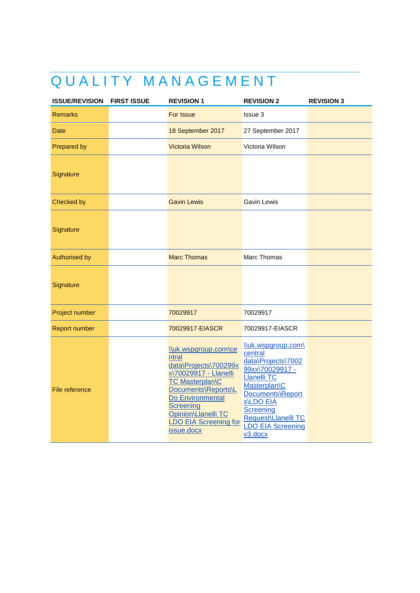## QUALITY MANAGEMENT

| <b>ISSUE/REVISION</b> | <b>FIRST ISSUE</b> | <b>REVISION 1</b>                                                                                                                                                                                                                             | <b>REVISION 2</b>                                                                                                                                                                                                               | <b>REVISION 3</b> |
|-----------------------|--------------------|-----------------------------------------------------------------------------------------------------------------------------------------------------------------------------------------------------------------------------------------------|---------------------------------------------------------------------------------------------------------------------------------------------------------------------------------------------------------------------------------|-------------------|
| <b>Remarks</b>        |                    | For Issue                                                                                                                                                                                                                                     | Issue 3                                                                                                                                                                                                                         |                   |
| <b>Date</b>           |                    | 18 September 2017                                                                                                                                                                                                                             | 27 September 2017                                                                                                                                                                                                               |                   |
| Prepared by           |                    | <b>Victoria Wilson</b>                                                                                                                                                                                                                        | Victoria Wilson                                                                                                                                                                                                                 |                   |
| Signature             |                    |                                                                                                                                                                                                                                               |                                                                                                                                                                                                                                 |                   |
| Checked by            |                    | <b>Gavin Lewis</b>                                                                                                                                                                                                                            | Gavin Lewis                                                                                                                                                                                                                     |                   |
| Signature             |                    |                                                                                                                                                                                                                                               |                                                                                                                                                                                                                                 |                   |
| <b>Authorised by</b>  |                    | <b>Marc Thomas</b>                                                                                                                                                                                                                            | Marc Thomas                                                                                                                                                                                                                     |                   |
| Signature             |                    |                                                                                                                                                                                                                                               |                                                                                                                                                                                                                                 |                   |
| Project number        |                    | 70029917                                                                                                                                                                                                                                      | 70029917                                                                                                                                                                                                                        |                   |
| Report number         |                    | 70029917-EIASCR                                                                                                                                                                                                                               | 70029917-EIASCR                                                                                                                                                                                                                 |                   |
| File reference        |                    | \\uk.wspgroup.com\ce<br>ntral<br>data\Projects\700299x<br>x\70029917 - Llanelli<br><b>TC Masterplan\C</b><br>Documents\Reports\L<br>Do Environmental<br><b>Screening</b><br>Opinion\Llanelli TC<br><b>LDO EIA Screening for</b><br>issue.docx | \\uk.wspgroup.com\<br>central<br>data\Projects\7002<br>99xx\70029917 -<br><b>Llanelli TC</b><br>Masterplan\C<br>Documents\Report<br><b>S\LDO EIA</b><br>Screening<br>Request\Llanelli TC<br><b>LDO EIA Screening</b><br>v3.docx |                   |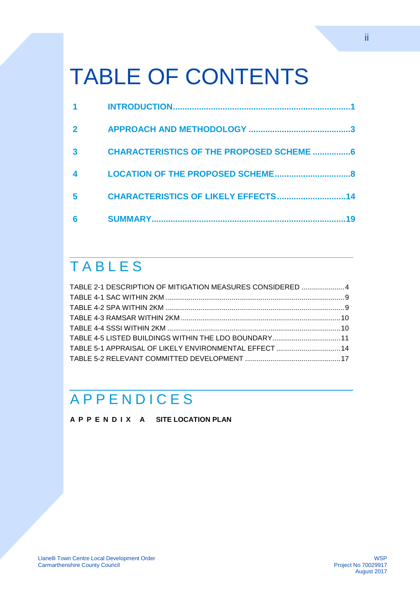# TABLE OF CONTENTS

| 3 | <b>CHARACTERISTICS OF THE PROPOSED SCHEME 6</b> |    |
|---|-------------------------------------------------|----|
|   | <b>LOCATION OF THE PROPOSED SCHEME</b>          | я  |
| 5 | <b>CHARACTERISTICS OF LIKELY EFFECTS</b>        | 14 |
| 6 |                                                 |    |

## **TABLES**

| TABLE 2-1 DESCRIPTION OF MITIGATION MEASURES CONSIDERED 4 |  |
|-----------------------------------------------------------|--|
|                                                           |  |
|                                                           |  |
|                                                           |  |
|                                                           |  |
| TABLE 4-5 LISTED BUILDINGS WITHIN THE LDO BOUNDARY11      |  |
| TABLE 5-1 APPRAISAL OF LIKELY ENVIRONMENTAL EFFECT 14     |  |
|                                                           |  |

## **A P P E N D I C E S**

**A P P E N D I X A [SITE LOCATION PLAN](#page-23-0)**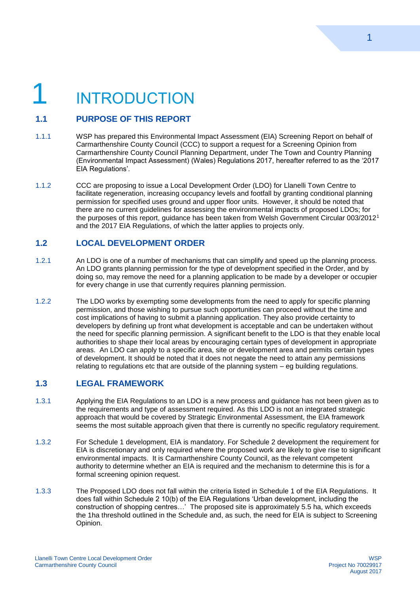# <span id="page-4-0"></span>**INTRODUCTION**

#### **1.1 PURPOSE OF THIS REPORT**

- 1.1.1 WSP has prepared this Environmental Impact Assessment (EIA) Screening Report on behalf of Carmarthenshire County Council (CCC) to support a request for a Screening Opinion from Carmarthenshire County Council Planning Department, under The Town and Country Planning (Environmental Impact Assessment) (Wales) Regulations 2017, hereafter referred to as the '2017 EIA Regulations'.
- 1.1.2 CCC are proposing to issue a Local Development Order (LDO) for Llanelli Town Centre to facilitate regeneration, increasing occupancy levels and footfall by granting conditional planning permission for specified uses ground and upper floor units. However, it should be noted that there are no current guidelines for assessing the environmental impacts of proposed LDOs; for the purposes of this report, guidance has been taken from Welsh Government Circular 003/2012<sup>1</sup> and the 2017 EIA Regulations, of which the latter applies to projects only.

#### **1.2 LOCAL DEVELOPMENT ORDER**

- 1.2.1 An LDO is one of a number of mechanisms that can simplify and speed up the planning process. An LDO grants planning permission for the type of development specified in the Order, and by doing so, may remove the need for a planning application to be made by a developer or occupier for every change in use that currently requires planning permission.
- 1.2.2 The LDO works by exempting some developments from the need to apply for specific planning permission, and those wishing to pursue such opportunities can proceed without the time and cost implications of having to submit a planning application. They also provide certainty to developers by defining up front what development is acceptable and can be undertaken without the need for specific planning permission. A significant benefit to the LDO is that they enable local authorities to shape their local areas by encouraging certain types of development in appropriate areas. An LDO can apply to a specific area, site or development area and permits certain types of development. It should be noted that it does not negate the need to attain any permissions relating to regulations etc that are outside of the planning system – eg building regulations.

#### **1.3 LEGAL FRAMEWORK**

- 1.3.1 Applying the EIA Regulations to an LDO is a new process and guidance has not been given as to the requirements and type of assessment required. As this LDO is not an integrated strategic approach that would be covered by Strategic Environmental Assessment, the EIA framework seems the most suitable approach given that there is currently no specific regulatory requirement.
- 1.3.2 For Schedule 1 development, EIA is mandatory. For Schedule 2 development the requirement for EIA is discretionary and only required where the proposed work are likely to give rise to significant environmental impacts. It is Carmarthenshire County Council, as the relevant competent authority to determine whether an EIA is required and the mechanism to determine this is for a formal screening opinion request.
- 1.3.3 The Proposed LDO does not fall within the criteria listed in Schedule 1 of the EIA Regulations. It does fall within Schedule 2 10(b) of the EIA Regulations 'Urban development, including the construction of shopping centres…' The proposed site is approximately 5.5 ha, which exceeds the 1ha threshold outlined in the Schedule and, as such, the need for EIA is subject to Screening Opinion.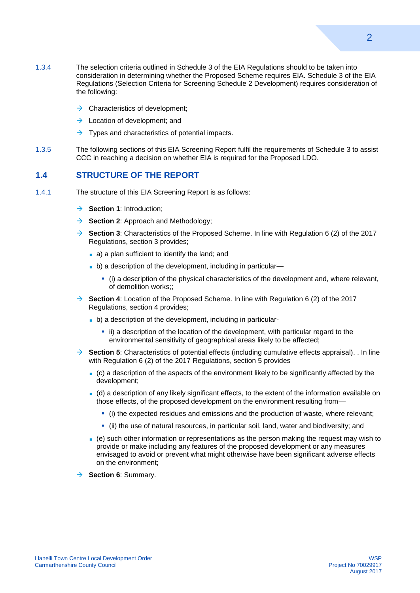- 1.3.4 The selection criteria outlined in Schedule 3 of the EIA Regulations should to be taken into consideration in determining whether the Proposed Scheme requires EIA. Schedule 3 of the EIA Regulations (Selection Criteria for Screening Schedule 2 Development) requires consideration of the following:
	- $\rightarrow$  Characteristics of development;
	- $\rightarrow$  Location of development: and
	- $\rightarrow$  Types and characteristics of potential impacts.
- 1.3.5 The following sections of this EIA Screening Report fulfil the requirements of Schedule 3 to assist CCC in reaching a decision on whether EIA is required for the Proposed LDO.

#### **1.4 STRUCTURE OF THE REPORT**

- 1.4.1 The structure of this EIA Screening Report is as follows:
	- $→$  **Section 1**: Introduction;
	- **→ Section 2:** Approach and Methodology;
	- → **Section 3**: Characteristics of the Proposed Scheme. In line with Regulation 6 (2) of the 2017 Regulations, section 3 provides;
		- a) a plan sufficient to identify the land; and
		- **b**) a description of the development, including in particular—
			- (i) a description of the physical characteristics of the development and, where relevant, of demolition works;;
	- → **Section 4**: Location of the Proposed Scheme. In line with Regulation 6 (2) of the 2017 Regulations, section 4 provides;
		- b) a description of the development, including in particular
			- ii) a description of the location of the development, with particular regard to the environmental sensitivity of geographical areas likely to be affected;
	- **→ Section 5**: Characteristics of potential effects (including cumulative effects appraisal). . In line with Regulation 6 (2) of the 2017 Regulations, section 5 provides
		- (c) a description of the aspects of the environment likely to be significantly affected by the development;
		- (d) a description of any likely significant effects, to the extent of the information available on those effects, of the proposed development on the environment resulting from—
			- (i) the expected residues and emissions and the production of waste, where relevant;
			- (ii) the use of natural resources, in particular soil, land, water and biodiversity; and
		- (e) such other information or representations as the person making the request may wish to provide or make including any features of the proposed development or any measures envisaged to avoid or prevent what might otherwise have been significant adverse effects on the environment;
	- → **Section 6**: Summary.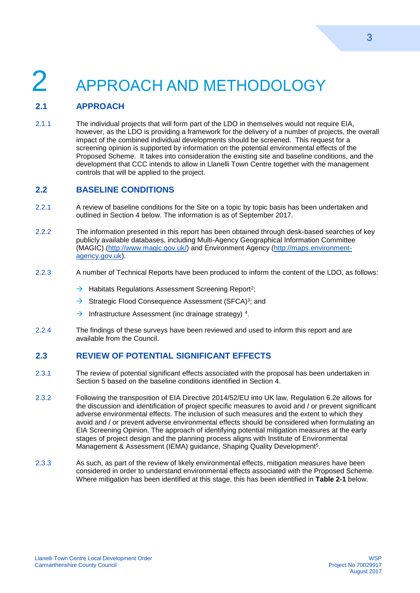## <span id="page-6-0"></span>2 APPROACH AND METHODOLOGY

#### **2.1 APPROACH**

2.1.1 The individual projects that will form part of the LDO in themselves would not require EIA, however, as the LDO is providing a framework for the delivery of a number of projects, the overall impact of the combined individual developments should be screened. This request for a screening opinion is supported by information on the potential environmental effects of the Proposed Scheme. It takes into consideration the existing site and baseline conditions, and the development that CCC intends to allow in Llanelli Town Centre together with the management controls that will be applied to the project.

#### **2.2 BASELINE CONDITIONS**

- 2.2.1 A review of baseline conditions for the Site on a topic by topic basis has been undertaken and outlined in Section 4 below. The information is as of September 2017.
- 2.2.2 The information presented in this report has been obtained through desk-based searches of key publicly available databases, including Multi-Agency Geographical Information Committee (MAGIC) [\(http://www.magic.gov.uk/\)](http://www.magic.gov.uk/) and Environment Agency [\(http://maps.environment](http://maps.environment-agency.gov.uk/)[agency.gov.uk\)](http://maps.environment-agency.gov.uk/).
- 2.2.3 A number of Technical Reports have been produced to inform the content of the LDO, as follows:
	- $\rightarrow$  Habitats Regulations Assessment Screening Report<sup>2</sup>;
	- $\rightarrow$  Strategic Flood Consequence Assessment (SFCA)<sup>3</sup>; and
	- $\rightarrow$  Infrastructure Assessment (inc drainage strategy)<sup>4</sup>.
- 2.2.4 The findings of these surveys have been reviewed and used to inform this report and are available from the Council.

#### **2.3 REVIEW OF POTENTIAL SIGNIFICANT EFFECTS**

- 2.3.1 The review of potential significant effects associated with the proposal has been undertaken in Section 5 based on the baseline conditions identified in Section 4.
- 2.3.2 Following the transposition of EIA Directive 2014/52/EU into UK law, Regulation 6.2e allows for the discussion and identification of project specific measures to avoid and / or prevent significant adverse environmental effects. The inclusion of such measures and the extent to which they avoid and / or prevent adverse environmental effects should be considered when formulating an EIA Screening Opinion. The approach of identifying potential mitigation measures at the early stages of project design and the planning process aligns with Institute of Environmental Management & Assessment (IEMA) guidance, Shaping Quality Development<sup>5</sup>.
- <span id="page-6-1"></span>2.3.3 As such, as part of the review of likely environmental effects, mitigation measures have been considered in order to understand environmental effects associated with the Proposed Scheme. Where mitigation has been identified at this stage, this has been identified in **Table 2-1** below.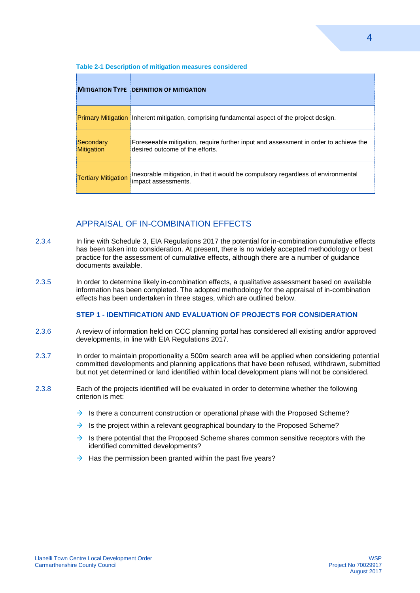|                                | <b>MITIGATION TYPE DEFINITION OF MITIGATION</b>                                                                         |
|--------------------------------|-------------------------------------------------------------------------------------------------------------------------|
|                                | <b>Primary Mitigation</b> Inherent mitigation, comprising fundamental aspect of the project design.                     |
| Secondary<br><b>Mitigation</b> | Foreseeable mitigation, require further input and assessment in order to achieve the<br>desired outcome of the efforts. |
| <b>Tertiary Mitigation</b>     | Inexorable mitigation, in that it would be compulsory regardless of environmental<br>impact assessments.                |

#### **Table 2-1 Description of mitigation measures considered**

#### APPRAISAL OF IN-COMBINATION EFFECTS

- 2.3.4 In line with Schedule 3, EIA Regulations 2017 the potential for in-combination cumulative effects has been taken into consideration. At present, there is no widely accepted methodology or best practice for the assessment of cumulative effects, although there are a number of guidance documents available.
- 2.3.5 In order to determine likely in-combination effects, a qualitative assessment based on available information has been completed. The adopted methodology for the appraisal of in-combination effects has been undertaken in three stages, which are outlined below.

#### **STEP 1 - IDENTIFICATION AND EVALUATION OF PROJECTS FOR CONSIDERATION**

- 2.3.6 A review of information held on CCC planning portal has considered all existing and/or approved developments, in line with EIA Regulations 2017.
- 2.3.7 In order to maintain proportionality a 500m search area will be applied when considering potential committed developments and planning applications that have been refused, withdrawn, submitted but not yet determined or land identified within local development plans will not be considered.
- 2.3.8 Each of the projects identified will be evaluated in order to determine whether the following criterion is met:
	- $\rightarrow$  Is there a concurrent construction or operational phase with the Proposed Scheme?
	- $\rightarrow$  Is the project within a relevant geographical boundary to the Proposed Scheme?
	- $\rightarrow$  Is there potential that the Proposed Scheme shares common sensitive receptors with the identified committed developments?
	- $\rightarrow$  Has the permission been granted within the past five years?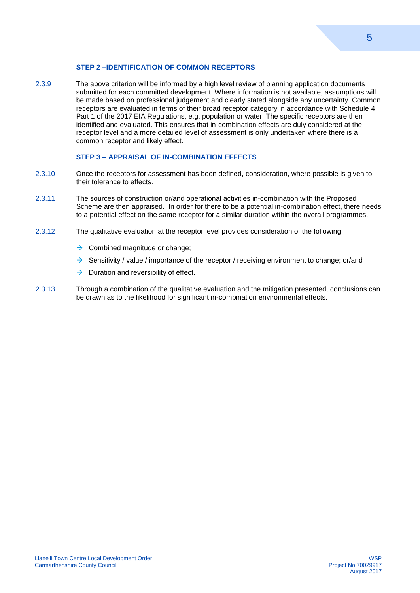#### **STEP 2 –IDENTIFICATION OF COMMON RECEPTORS**

2.3.9 The above criterion will be informed by a high level review of planning application documents submitted for each committed development. Where information is not available, assumptions will be made based on professional judgement and clearly stated alongside any uncertainty. Common receptors are evaluated in terms of their broad receptor category in accordance with Schedule 4 Part 1 of the 2017 EIA Regulations, e.g. population or water. The specific receptors are then identified and evaluated. This ensures that in-combination effects are duly considered at the receptor level and a more detailed level of assessment is only undertaken where there is a common receptor and likely effect.

#### **STEP 3 – APPRAISAL OF IN-COMBINATION EFFECTS**

- 2.3.10 Once the receptors for assessment has been defined, consideration, where possible is given to their tolerance to effects.
- 2.3.11 The sources of construction or/and operational activities in-combination with the Proposed Scheme are then appraised. In order for there to be a potential in-combination effect, there needs to a potential effect on the same receptor for a similar duration within the overall programmes.
- 2.3.12 The qualitative evaluation at the receptor level provides consideration of the following;
	- $\rightarrow$  Combined magnitude or change;
	- $\rightarrow$  Sensitivity / value / importance of the receptor / receiving environment to change; or/and
	- $\rightarrow$  Duration and reversibility of effect.
- 2.3.13 Through a combination of the qualitative evaluation and the mitigation presented, conclusions can be drawn as to the likelihood for significant in-combination environmental effects.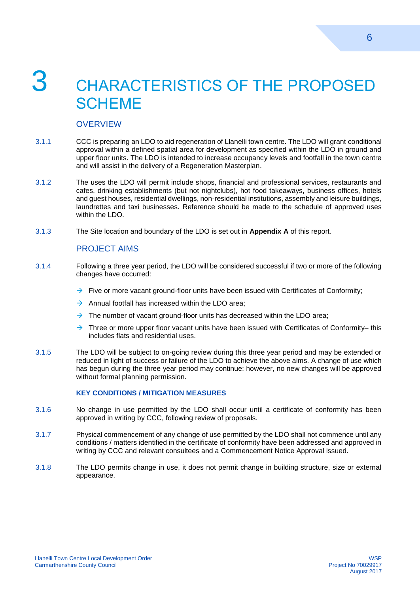## <span id="page-9-0"></span>3 CHARACTERISTICS OF THE PROPOSED **SCHEME**

#### **OVERVIEW**

- 3.1.1 CCC is preparing an LDO to aid regeneration of Llanelli town centre. The LDO will grant conditional approval within a defined spatial area for development as specified within the LDO in ground and upper floor units. The LDO is intended to increase occupancy levels and footfall in the town centre and will assist in the delivery of a Regeneration Masterplan.
- 3.1.2 The uses the LDO will permit include shops, financial and professional services, restaurants and cafes, drinking establishments (but not nightclubs), hot food takeaways, business offices, hotels and guest houses, residential dwellings, non-residential institutions, assembly and leisure buildings, laundrettes and taxi businesses. Reference should be made to the schedule of approved uses within the LDO.
- 3.1.3 The Site location and boundary of the LDO is set out in **Appendix A** of this report.

#### PROJECT AIMS

- 3.1.4 Following a three year period, the LDO will be considered successful if two or more of the following changes have occurred:
	- $\rightarrow$  Five or more vacant ground-floor units have been issued with Certificates of Conformity:
	- $\rightarrow$  Annual footfall has increased within the LDO area:
	- $\rightarrow$  The number of vacant ground-floor units has decreased within the LDO area;
	- $\rightarrow$  Three or more upper floor vacant units have been issued with Certificates of Conformity– this includes flats and residential uses.
- 3.1.5 The LDO will be subject to on-going review during this three year period and may be extended or reduced in light of success or failure of the LDO to achieve the above aims. A change of use which has begun during the three year period may continue; however, no new changes will be approved without formal planning permission.

#### **KEY CONDITIONS / MITIGATION MEASURES**

- 3.1.6 No change in use permitted by the LDO shall occur until a certificate of conformity has been approved in writing by CCC, following review of proposals.
- 3.1.7 Physical commencement of any change of use permitted by the LDO shall not commence until any conditions / matters identified in the certificate of conformity have been addressed and approved in writing by CCC and relevant consultees and a Commencement Notice Approval issued.
- 3.1.8 The LDO permits change in use, it does not permit change in building structure, size or external appearance.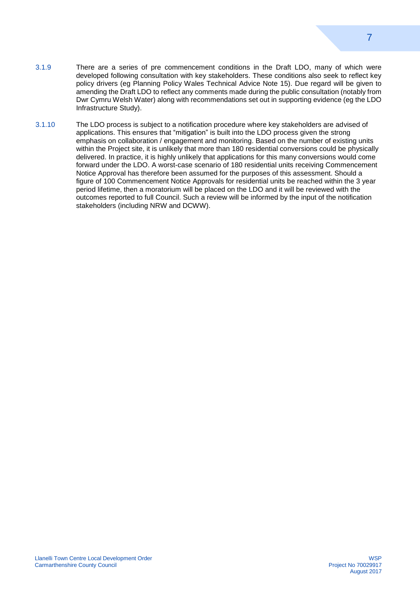- 3.1.9 There are a series of pre commencement conditions in the Draft LDO, many of which were developed following consultation with key stakeholders. These conditions also seek to reflect key policy drivers (eg Planning Policy Wales Technical Advice Note 15). Due regard will be given to amending the Draft LDO to reflect any comments made during the public consultation (notably from Dwr Cymru Welsh Water) along with recommendations set out in supporting evidence (eg the LDO Infrastructure Study).
- 3.1.10 The LDO process is subject to a notification procedure where key stakeholders are advised of applications. This ensures that "mitigation" is built into the LDO process given the strong emphasis on collaboration / engagement and monitoring. Based on the number of existing units within the Project site, it is unlikely that more than 180 residential conversions could be physically delivered. In practice, it is highly unlikely that applications for this many conversions would come forward under the LDO. A worst-case scenario of 180 residential units receiving Commencement Notice Approval has therefore been assumed for the purposes of this assessment. Should a figure of 100 Commencement Notice Approvals for residential units be reached within the 3 year period lifetime, then a moratorium will be placed on the LDO and it will be reviewed with the outcomes reported to full Council. Such a review will be informed by the input of the notification stakeholders (including NRW and DCWW).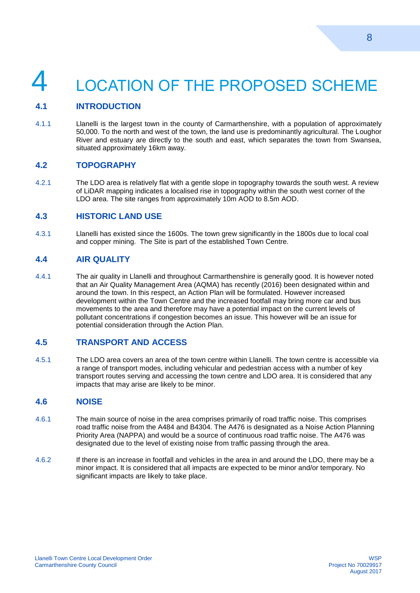# <span id="page-11-0"></span>LOCATION OF THE PROPOSED SCHEME

#### **4.1 INTRODUCTION**

4.1.1 Llanelli is the largest town in the county of Carmarthenshire, with a population of approximately 50,000. To the north and west of the town, the land use is predominantly agricultural. The Loughor River and estuary are directly to the south and east, which separates the town from Swansea, situated approximately 16km away.

#### **4.2 TOPOGRAPHY**

4.2.1 The LDO area is relatively flat with a gentle slope in topography towards the south west. A review of LiDAR mapping indicates a localised rise in topography within the south west corner of the LDO area. The site ranges from approximately 10m AOD to 8.5m AOD.

#### **4.3 HISTORIC LAND USE**

4.3.1 Llanelli has existed since the 1600s. The town grew significantly in the 1800s due to local coal and copper mining. The Site is part of the established Town Centre.

#### **4.4 AIR QUALITY**

4.4.1 The air quality in Llanelli and throughout Carmarthenshire is generally good. It is however noted that an Air Quality Management Area (AQMA) has recently (2016) been designated within and around the town. In this respect, an Action Plan will be formulated. However increased development within the Town Centre and the increased footfall may bring more car and bus movements to the area and therefore may have a potential impact on the current levels of pollutant concentrations if congestion becomes an issue. This however will be an issue for potential consideration through the Action Plan.

#### **4.5 TRANSPORT AND ACCESS**

4.5.1 The LDO area covers an area of the town centre within Llanelli. The town centre is accessible via a range of transport modes, including vehicular and pedestrian access with a number of key transport routes serving and accessing the town centre and LDO area. It is considered that any impacts that may arise are likely to be minor.

#### **4.6 NOISE**

- 4.6.1 The main source of noise in the area comprises primarily of road traffic noise. This comprises road traffic noise from the A484 and B4304. The A476 is designated as a Noise Action Planning Priority Area (NAPPA) and would be a source of continuous road traffic noise. The A476 was designated due to the level of existing noise from traffic passing through the area.
- 4.6.2 If there is an increase in footfall and vehicles in the area in and around the LDO, there may be a minor impact. It is considered that all impacts are expected to be minor and/or temporary. No significant impacts are likely to take place.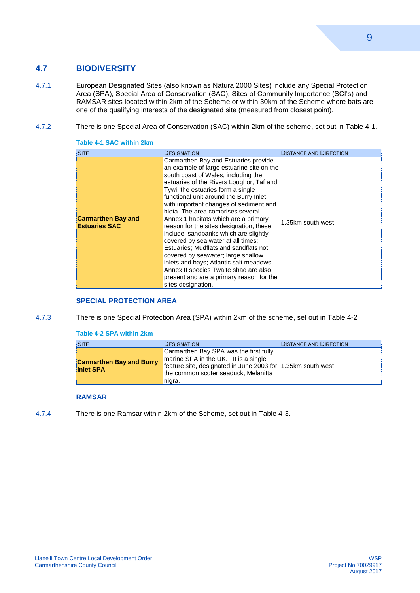#### **4.7 BIODIVERSITY**

- 4.7.1 European Designated Sites (also known as Natura 2000 Sites) include any Special Protection Area (SPA), Special Area of Conservation (SAC), Sites of Community Importance (SCI's) and RAMSAR sites located within 2km of the Scheme or within 30km of the Scheme where bats are one of the qualifying interests of the designated site (measured from closest point).
- 4.7.2 There is one Special Area of Conservation (SAC) within 2km of the scheme, set out in Table 4-1.

| <b>SITE</b>                                       | <b>DESIGNATION</b>                                                                                                                                                                                                                                                                                                                                                                                                                                                                                                                                                                                                                                                                                                                         | <b>DISTANCE AND DIRECTION</b> |
|---------------------------------------------------|--------------------------------------------------------------------------------------------------------------------------------------------------------------------------------------------------------------------------------------------------------------------------------------------------------------------------------------------------------------------------------------------------------------------------------------------------------------------------------------------------------------------------------------------------------------------------------------------------------------------------------------------------------------------------------------------------------------------------------------------|-------------------------------|
| <b>Carmarthen Bay and</b><br><b>Estuaries SAC</b> | Carmarthen Bay and Estuaries provide<br>an example of large estuarine site on the<br>south coast of Wales, including the<br>estuaries of the Rivers Loughor, Taf and<br>Tywi, the estuaries form a single<br>functional unit around the Burry Inlet,<br>with important changes of sediment and<br>biota. The area comprises several<br>Annex 1 habitats which are a primary<br>reason for the sites designation, these<br>include; sandbanks which are slightly<br>covered by sea water at all times;<br>Estuaries: Mudflats and sandflats not<br>covered by seawater; large shallow<br>inlets and bays; Atlantic salt meadows.<br>Annex II species Twaite shad are also<br>present and are a primary reason for the<br>sites designation. | 1.35km south west             |

#### <span id="page-12-0"></span>**Table 4-1 SAC within 2km**

#### **SPECIAL PROTECTION AREA**

4.7.3 There is one Special Protection Area (SPA) within 2km of the scheme, set out in Table 4-2

#### <span id="page-12-1"></span>**Table 4-2 SPA within 2km**

| <b>SITE</b>                                         | DESIGNATION                                                                                                                                                                                     | <b>DISTANCE AND DIRECTION</b> |
|-----------------------------------------------------|-------------------------------------------------------------------------------------------------------------------------------------------------------------------------------------------------|-------------------------------|
| <b>Carmarthen Bay and Burry</b><br><b>Inlet SPA</b> | Carmarthen Bay SPA was the first fully<br>marine SPA in the UK. It is a single<br>feature site, designated in June 2003 for 1.35km south west<br>the common scoter seaduck, Melanitta<br>nigra. |                               |

#### <span id="page-12-2"></span>**RAMSAR**

4.7.4 There is one Ramsar within 2km of the Scheme, set out in Table 4-3.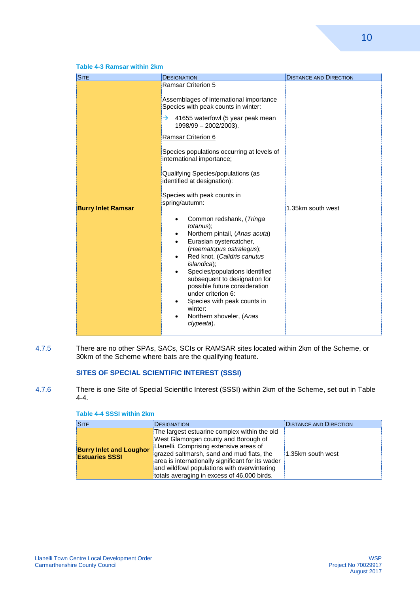#### **Table 4-3 Ramsar within 2km**

| <b>SITE</b>               | <b>DESIGNATION</b>                                                                                                                                                                                                                                                                                                                                                                                                                                                                                                                                                                                                                                                                                                                                                                                                                                                         | <b>DISTANCE AND DIRECTION</b> |
|---------------------------|----------------------------------------------------------------------------------------------------------------------------------------------------------------------------------------------------------------------------------------------------------------------------------------------------------------------------------------------------------------------------------------------------------------------------------------------------------------------------------------------------------------------------------------------------------------------------------------------------------------------------------------------------------------------------------------------------------------------------------------------------------------------------------------------------------------------------------------------------------------------------|-------------------------------|
| <b>Burry Inlet Ramsar</b> | Ramsar Criterion 5<br>Assemblages of international importance<br>Species with peak counts in winter:<br>41655 waterfowl (5 year peak mean<br>→<br>1998/99 - 2002/2003).<br>Ramsar Criterion 6<br>Species populations occurring at levels of<br>international importance;<br>Qualifying Species/populations (as<br>identified at designation):<br>Species with peak counts in<br>spring/autumn:<br>Common redshank, (Tringa<br><i>totanus</i> );<br>Northern pintail, (Anas acuta)<br>٠<br>Eurasian oystercatcher,<br>$\bullet$<br>(Haematopus ostralegus);<br>Red knot, (Calidris canutus<br>$\bullet$<br><i>islandica</i> );<br>Species/populations identified<br>$\bullet$<br>subsequent to designation for<br>possible future consideration<br>under criterion 6:<br>Species with peak counts in<br>$\bullet$<br>winter:<br>Northern shoveler, (Anas<br>٠<br>clypeata). | 1.35km south west             |

4.7.5 There are no other SPAs, SACs, SCIs or RAMSAR sites located within 2km of the Scheme, or 30km of the Scheme where bats are the qualifying feature.

#### **SITES OF SPECIAL SCIENTIFIC INTEREST (SSSI)**

4.7.6 There is one Site of Special Scientific Interest (SSSI) within 2km of the Scheme, set out in Table 4-4.

<span id="page-13-0"></span>

| Table 4-4 SSSI within 2km |  |  |
|---------------------------|--|--|
|                           |  |  |

| <b>SITE</b>                                             | <b>DESIGNATION</b>                                                                                                                                                                                                                                                                                                              | <b>DISTANCE AND DIRECTION</b> |
|---------------------------------------------------------|---------------------------------------------------------------------------------------------------------------------------------------------------------------------------------------------------------------------------------------------------------------------------------------------------------------------------------|-------------------------------|
| <b>Burry Inlet and Loughor</b><br><b>Estuaries SSSI</b> | The largest estuarine complex within the old<br>West Glamorgan county and Borough of<br>Llanelli. Comprising extensive areas of<br>grazed saltmarsh, sand and mud flats, the<br>area is internationally significant for its wader<br>and wildfowl populations with overwintering<br>totals averaging in excess of 46,000 birds. | 1.35km south west             |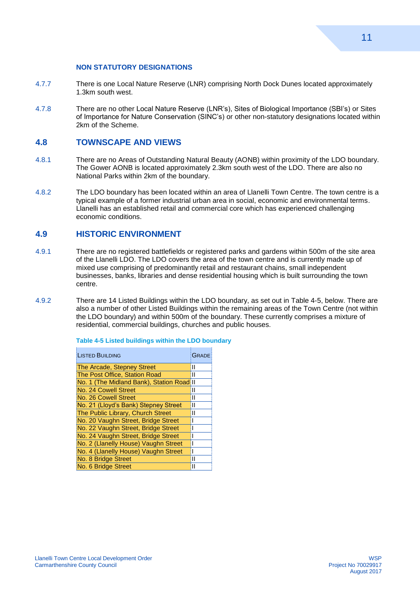#### **NON STATUTORY DESIGNATIONS**

- 4.7.7 There is one Local Nature Reserve (LNR) comprising North Dock Dunes located approximately 1.3km south west.
- 4.7.8 There are no other Local Nature Reserve (LNR's), Sites of Biological Importance (SBI's) or Sites of Importance for Nature Conservation (SINC's) or other non-statutory designations located within 2km of the Scheme.

#### **4.8 TOWNSCAPE AND VIEWS**

- 4.8.1 There are no Areas of Outstanding Natural Beauty (AONB) within proximity of the LDO boundary. The Gower AONB is located approximately 2.3km south west of the LDO. There are also no National Parks within 2km of the boundary.
- 4.8.2 The LDO boundary has been located within an area of Llanelli Town Centre. The town centre is a typical example of a former industrial urban area in social, economic and environmental terms. Llanelli has an established retail and commercial core which has experienced challenging economic conditions.

#### **4.9 HISTORIC ENVIRONMENT**

- 4.9.1 There are no registered battlefields or registered parks and gardens within 500m of the site area of the Llanelli LDO. The LDO covers the area of the town centre and is currently made up of mixed use comprising of predominantly retail and restaurant chains, small independent businesses, banks, libraries and dense residential housing which is built surrounding the town centre.
- 4.9.2 There are 14 Listed Buildings within the LDO boundary, as set out in Table 4-5, below. There are also a number of other Listed Buildings within the remaining areas of the Town Centre (not within the LDO boundary) and within 500m of the boundary. These currently comprises a mixture of residential, commercial buildings, churches and public houses.

| <b>LISTED BUILDING</b>                    | <b>GRADE</b> |
|-------------------------------------------|--------------|
| <b>The Arcade, Stepney Street</b>         | $\mathbf{I}$ |
| The Post Office, Station Road             | Ш            |
| No. 1 (The Midland Bank), Station Road II |              |
| No. 24 Cowell Street                      | Ш            |
| No. 26 Cowell Street                      | Ш            |
| No. 21 (Lloyd's Bank) Stepney Street      | Ш            |
| The Public Library, Church Street         | $\mathsf{I}$ |
| No. 20 Vaughn Street, Bridge Street       |              |
| No. 22 Vaughn Street, Bridge Street       |              |
| No. 24 Vaughn Street, Bridge Street       |              |
| No. 2 (Llanelly House) Vaughn Street      |              |
| No. 4 (Llanelly House) Vaughn Street      |              |
| No. 8 Bridge Street                       | Ш            |
| No. 6 Bridge Street                       | Ш            |

<span id="page-14-0"></span>**Table 4-5 Listed buildings within the LDO boundary**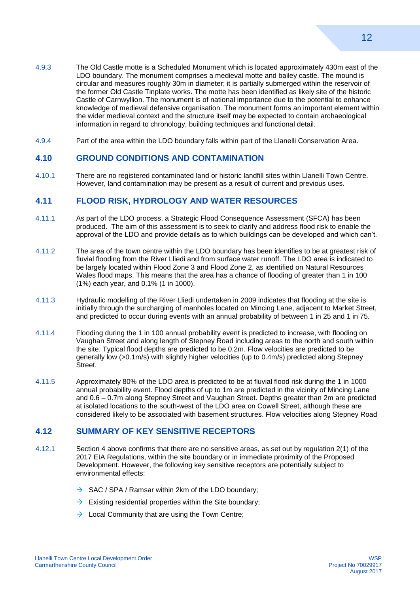- 4.9.3 The Old Castle motte is a Scheduled Monument which is located approximately 430m east of the LDO boundary. The monument comprises a medieval motte and bailey castle. The mound is circular and measures roughly 30m in diameter; it is partially submerged within the reservoir of the former Old Castle Tinplate works. The motte has been identified as likely site of the historic Castle of Carnwyllion. The monument is of national importance due to the potential to enhance knowledge of medieval defensive organisation. The monument forms an important element within the wider medieval context and the structure itself may be expected to contain archaeological information in regard to chronology, building techniques and functional detail.
- 4.9.4 Part of the area within the LDO boundary falls within part of the Llanelli Conservation Area.

#### **4.10 GROUND CONDITIONS AND CONTAMINATION**

4.10.1 There are no registered contaminated land or historic landfill sites within Llanelli Town Centre. However, land contamination may be present as a result of current and previous uses.

#### **4.11 FLOOD RISK, HYDROLOGY AND WATER RESOURCES**

- 4.11.1 As part of the LDO process, a Strategic Flood Consequence Assessment (SFCA) has been produced. The aim of this assessment is to seek to clarify and address flood risk to enable the approval of the LDO and provide details as to which buildings can be developed and which can't.
- 4.11.2 The area of the town centre within the LDO boundary has been identifies to be at greatest risk of fluvial flooding from the River Lliedi and from surface water runoff. The LDO area is indicated to be largely located within Flood Zone 3 and Flood Zone 2, as identified on Natural Resources Wales flood maps. This means that the area has a chance of flooding of greater than 1 in 100 (1%) each year, and 0.1% (1 in 1000).
- 4.11.3 Hydraulic modelling of the River Lliedi undertaken in 2009 indicates that flooding at the site is initially through the surcharging of manholes located on Mincing Lane, adjacent to Market Street, and predicted to occur during events with an annual probability of between 1 in 25 and 1 in 75.
- 4.11.4 Flooding during the 1 in 100 annual probability event is predicted to increase, with flooding on Vaughan Street and along length of Stepney Road including areas to the north and south within the site. Typical flood depths are predicted to be 0.2m. Flow velocities are predicted to be generally low (>0.1m/s) with slightly higher velocities (up to 0.4m/s) predicted along Stepney Street.
- 4.11.5 Approximately 80% of the LDO area is predicted to be at fluvial flood risk during the 1 in 1000 annual probability event. Flood depths of up to 1m are predicted in the vicinity of Mincing Lane and 0.6 – 0.7m along Stepney Street and Vaughan Street. Depths greater than 2m are predicted at isolated locations to the south-west of the LDO area on Cowell Street, although these are considered likely to be associated with basement structures. Flow velocities along Stepney Road

#### **4.12 SUMMARY OF KEY SENSITIVE RECEPTORS**

- 4.12.1 Section 4 above confirms that there are no sensitive areas, as set out by regulation 2(1) of the 2017 EIA Regulations, within the site boundary or in immediate proximity of the Proposed Development. However, the following key sensitive receptors are potentially subject to environmental effects:
	- $\rightarrow$  SAC / SPA / Ramsar within 2km of the LDO boundary;
	- $\rightarrow$  Existing residential properties within the Site boundary;
	- $\rightarrow$  Local Community that are using the Town Centre;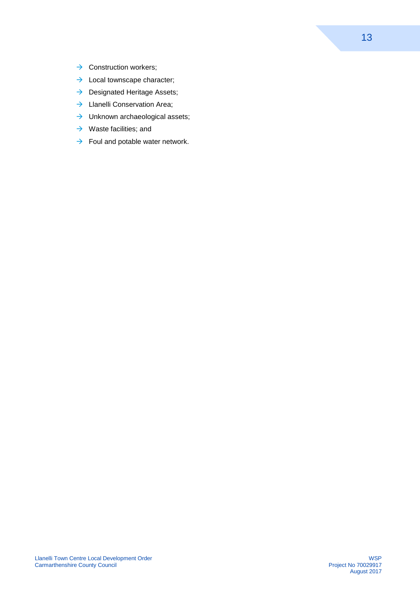- $\rightarrow$  Construction workers:
- $\rightarrow$  Local townscape character;
- $\rightarrow$  Designated Heritage Assets;
- $\rightarrow$  Llanelli Conservation Area;
- $\rightarrow$  Unknown archaeological assets;
- $\rightarrow$  Waste facilities; and
- $\rightarrow$  Foul and potable water network.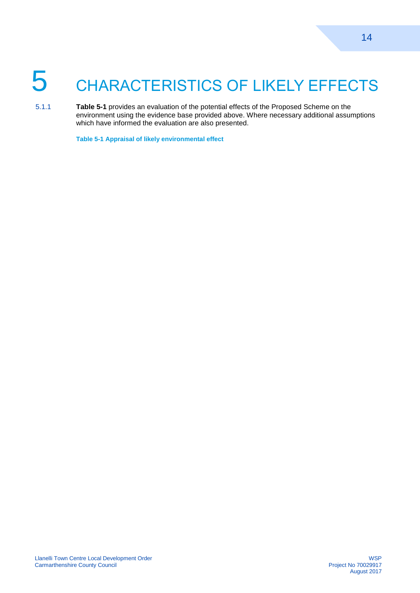# <span id="page-17-0"></span>5 CHARACTERISTICS OF LIKELY EFFECTS

5.1.1 **Table 5-1** provides an evaluation of the potential effects of the Proposed Scheme on the environment using the evidence base provided above. Where necessary additional assumptions which have informed the evaluation are also presented.

<span id="page-17-1"></span>**Table 5-1 Appraisal of likely environmental effect**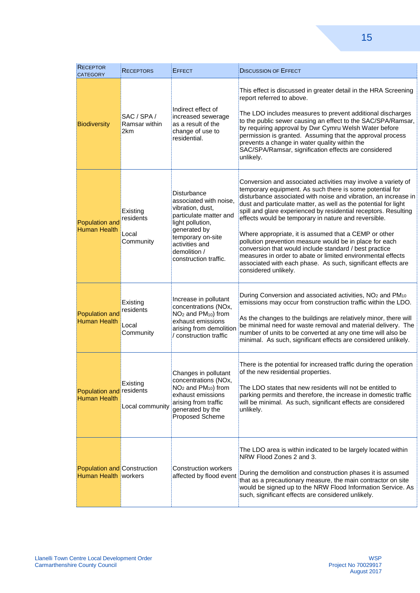| <b>RECEPTOR</b><br><b>CATEGORY</b>                                | RECEPTORS                                   | <b>EFFECT</b>                                                                                                                                                                                           | <b>DISCUSSION OF EFFECT</b>                                                                                                                                                                                                                                                                                                                                                                                                                                                                                                                                                                                                                                                                                                     |
|-------------------------------------------------------------------|---------------------------------------------|---------------------------------------------------------------------------------------------------------------------------------------------------------------------------------------------------------|---------------------------------------------------------------------------------------------------------------------------------------------------------------------------------------------------------------------------------------------------------------------------------------------------------------------------------------------------------------------------------------------------------------------------------------------------------------------------------------------------------------------------------------------------------------------------------------------------------------------------------------------------------------------------------------------------------------------------------|
| <b>Biodiversity</b>                                               | SAC / SPA /<br>Ramsar within<br>2km         | Indirect effect of<br>increased sewerage<br>as a result of the<br>change of use to<br>residential.                                                                                                      | This effect is discussed in greater detail in the HRA Screening<br>report referred to above.<br>The LDO includes measures to prevent additional discharges<br>to the public sewer causing an effect to the SAC/SPA/Ramsar,<br>by requiring approval by Dwr Cymru Welsh Water before<br>permission is granted. Assuming that the approval process<br>prevents a change in water quality within the<br>SAC/SPA/Ramsar, signification effects are considered<br>unlikely.                                                                                                                                                                                                                                                          |
| Population and<br><b>Human Health</b>                             | Existing<br>residents<br>Local<br>Community | Disturbance<br>associated with noise,<br>vibration, dust,<br>particulate matter and<br>light pollution,<br>generated by<br>temporary on-site<br>activities and<br>demolition /<br>construction traffic. | Conversion and associated activities may involve a variety of<br>temporary equipment. As such there is some potential for<br>disturbance associated with noise and vibration, an increase in<br>dust and particulate matter, as well as the potential for light<br>spill and glare experienced by residential receptors. Resulting<br>effects would be temporary in nature and reversible.<br>Where appropriate, it is assumed that a CEMP or other<br>pollution prevention measure would be in place for each<br>conversion that would include standard / best practice<br>measures in order to abate or limited environmental effects<br>associated with each phase. As such, significant effects are<br>considered unlikely. |
| Population and<br><b>Human Health</b>                             | Existing<br>residents<br>Local<br>Community | Increase in pollutant<br>concentrations (NOx,<br>NO <sub>2</sub> and PM <sub>10</sub> ) from<br>exhaust emissions<br>arising from demolition<br>/ construction traffic                                  | During Conversion and associated activities, NO <sub>2</sub> and PM <sub>10</sub><br>emissions may occur from construction traffic within the LDO.<br>As the changes to the buildings are relatively minor, there will<br>be minimal need for waste removal and material delivery. The<br>number of units to be converted at any one time will also be<br>minimal. As such, significant effects are considered unlikely.                                                                                                                                                                                                                                                                                                        |
| Population and residents<br><b>Human Health</b>                   | Existing<br>Local community                 | Changes in pollutant<br>concentrations (NOx,<br>NO <sub>2</sub> and PM <sub>10</sub> ) from<br>exhaust emissions<br>arising from traffic<br>generated by the<br><b>Proposed Scheme</b>                  | There is the potential for increased traffic during the operation<br>of the new residential properties.<br>The LDO states that new residents will not be entitled to<br>parking permits and therefore, the increase in domestic traffic<br>will be minimal. As such, significant effects are considered<br>unlikely.                                                                                                                                                                                                                                                                                                                                                                                                            |
| <b>Population and Construction</b><br><b>Human Health workers</b> |                                             | Construction workers<br>affected by flood event                                                                                                                                                         | The LDO area is within indicated to be largely located within<br>NRW Flood Zones 2 and 3.<br>During the demolition and construction phases it is assumed<br>that as a precautionary measure, the main contractor on site<br>would be signed up to the NRW Flood Information Service. As<br>such, significant effects are considered unlikely.                                                                                                                                                                                                                                                                                                                                                                                   |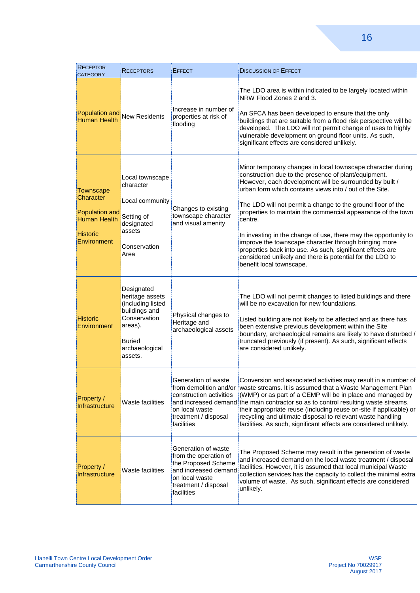| <b>RECEPTOR</b><br><b>CATEGORY</b>                                                                       | <b>RECEPTORS</b>                                                                                                                             | <b>EFFECT</b>                                                                                                                                       | <b>DISCUSSION OF EFFECT</b>                                                                                                                                                                                                                                                                                                                                                                                                                                                                                                                                                                                                                                            |
|----------------------------------------------------------------------------------------------------------|----------------------------------------------------------------------------------------------------------------------------------------------|-----------------------------------------------------------------------------------------------------------------------------------------------------|------------------------------------------------------------------------------------------------------------------------------------------------------------------------------------------------------------------------------------------------------------------------------------------------------------------------------------------------------------------------------------------------------------------------------------------------------------------------------------------------------------------------------------------------------------------------------------------------------------------------------------------------------------------------|
| <b>Human Health</b>                                                                                      | Population and New Residents                                                                                                                 | Increase in number of<br>properties at risk of<br>flooding                                                                                          | The LDO area is within indicated to be largely located within<br>NRW Flood Zones 2 and 3.<br>An SFCA has been developed to ensure that the only<br>buildings that are suitable from a flood risk perspective will be<br>developed. The LDO will not permit change of uses to highly<br>vulnerable development on ground floor units. As such,<br>significant effects are considered unlikely.                                                                                                                                                                                                                                                                          |
| <b>Townscape</b><br>Character<br>Population and<br><b>Human Health</b><br><b>Historic</b><br>Environment | Local townscape<br>character<br>Local community<br>Setting of<br>designated<br>assets<br>Conservation<br>Area                                | Changes to existing<br>townscape character<br>and visual amenity                                                                                    | Minor temporary changes in local townscape character during<br>construction due to the presence of plant/equipment.<br>However, each development will be surrounded by built /<br>urban form which contains views into / out of the Site.<br>The LDO will not permit a change to the ground floor of the<br>properties to maintain the commercial appearance of the town<br>centre.<br>In investing in the change of use, there may the opportunity to<br>improve the townscape character through bringing more<br>properties back into use. As such, significant effects are<br>considered unlikely and there is potential for the LDO to<br>benefit local townscape. |
| <b>Historic</b><br>Environment                                                                           | Designated<br>heritage assets<br>(including listed<br>buildings and<br>Conservation<br>areas).<br><b>Buried</b><br>archaeological<br>assets. | Physical changes to<br>Heritage and<br>archaeological assets                                                                                        | The LDO will not permit changes to listed buildings and there<br>will be no excavation for new foundations.<br>Listed building are not likely to be affected and as there has<br>been extensive previous development within the Site<br>boundary, archaeological remains are likely to have disturbed /<br>truncated previously (if present). As such, significant effects<br>are considered unlikely.                                                                                                                                                                                                                                                                 |
| Property /<br>Infrastructure                                                                             | Waste facilities                                                                                                                             | Generation of waste<br>from demolition and/or<br>construction activities<br>on local waste<br>treatment / disposal<br>facilities                    | Conversion and associated activities may result in a number of<br>waste streams. It is assumed that a Waste Management Plan<br>(WMP) or as part of a CEMP will be in place and managed by<br>and increased demand the main contractor so as to control resulting waste streams,<br>their appropriate reuse (including reuse on-site if applicable) or<br>recycling and ultimate disposal to relevant waste handling<br>facilities. As such, significant effects are considered unlikely.                                                                                                                                                                               |
| Property /<br>Infrastructure                                                                             | Waste facilities                                                                                                                             | Generation of waste<br>from the operation of<br>the Proposed Scheme<br>and increased demand<br>on local waste<br>treatment / disposal<br>facilities | The Proposed Scheme may result in the generation of waste<br>and increased demand on the local waste treatment / disposal<br>facilities. However, it is assumed that local municipal Waste<br>collection services has the capacity to collect the minimal extra<br>volume of waste. As such, significant effects are considered<br>unlikely.                                                                                                                                                                                                                                                                                                                           |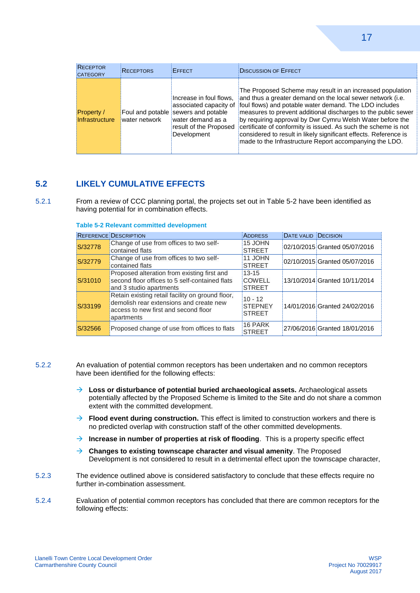| <b>RECEPTOR</b><br><b>CATEGORY</b> | <b>RECEPTORS</b> | <b>EFFECT</b>                                                                                                                                          | <b>DISCUSSION OF EFFECT</b>                                                                                                                                                                                                                                                                                                                                                                                                                                                                                      |
|------------------------------------|------------------|--------------------------------------------------------------------------------------------------------------------------------------------------------|------------------------------------------------------------------------------------------------------------------------------------------------------------------------------------------------------------------------------------------------------------------------------------------------------------------------------------------------------------------------------------------------------------------------------------------------------------------------------------------------------------------|
| Property /<br>Infrastructure       | water network    | Increase in foul flows,<br>associated capacity of<br>Foul and potable sewers and potable<br>water demand as a<br>result of the Proposed<br>Development | The Proposed Scheme may result in an increased population<br>and thus a greater demand on the local sewer network (i.e.<br>foul flows) and potable water demand. The LDO includes<br>measures to prevent additional discharges to the public sewer<br>by requiring approval by Dwr Cymru Welsh Water before the<br>certificate of conformity is issued. As such the scheme is not<br>considered to result in likely significant effects. Reference is<br>made to the Infrastructure Report accompanying the LDO. |

#### **5.2 LIKELY CUMULATIVE EFFECTS**

5.2.1 From a review of CCC planning portal, the projects set out in Table 5-2 have been identified as having potential for in combination effects.

|         | <b>REFERENCE DESCRIPTION</b>                                                                                                                      | <b>ADDRESS</b>                               | <b>DATE VALID DECISION</b> |                               |
|---------|---------------------------------------------------------------------------------------------------------------------------------------------------|----------------------------------------------|----------------------------|-------------------------------|
| S/32778 | Change of use from offices to two self-<br>contained flats                                                                                        | 15 JOHN<br><b>STREET</b>                     |                            | 02/10/2015 Granted 05/07/2016 |
| S/32779 | Change of use from offices to two self-<br>contained flats                                                                                        | 11 JOHN<br><b>STREET</b>                     |                            | 02/10/2015 Granted 05/07/2016 |
| S/31010 | Proposed alteration from existing first and<br>second floor offices to 5 self-contained flats<br>and 3 studio apartments                          | $13 - 15$<br><b>COWELL</b><br><b>STREET</b>  |                            | 13/10/2014 Granted 10/11/2014 |
| S/33199 | Retain existing retail facility on ground floor,<br>demolish rear extensions and create new<br>access to new first and second floor<br>apartments | $10 - 12$<br><b>STEPNEY</b><br><b>STREET</b> |                            | 14/01/2016 Granted 24/02/2016 |
| S/32566 | Proposed change of use from offices to flats                                                                                                      | 16 PARK<br><b>STREET</b>                     |                            | 27/06/2016 Granted 18/01/2016 |

<span id="page-20-0"></span>**Table 5-2 Relevant committed development**

- 5.2.2 An evaluation of potential common receptors has been undertaken and no common receptors have been identified for the following effects:
	- **Loss or disturbance of potential buried archaeological assets.** Archaeological assets potentially affected by the Proposed Scheme is limited to the Site and do not share a common extent with the committed development.
	- → **Flood event during construction.** This effect is limited to construction workers and there is no predicted overlap with construction staff of the other committed developments.
	- $\rightarrow$  **Increase in number of properties at risk of flooding**. This is a property specific effect
	- **Changes to existing townscape character and visual amenity**. The Proposed Development is not considered to result in a detrimental effect upon the townscape character,
- 5.2.3 The evidence outlined above is considered satisfactory to conclude that these effects require no further in-combination assessment.
- 5.2.4 Evaluation of potential common receptors has concluded that there are common receptors for the following effects: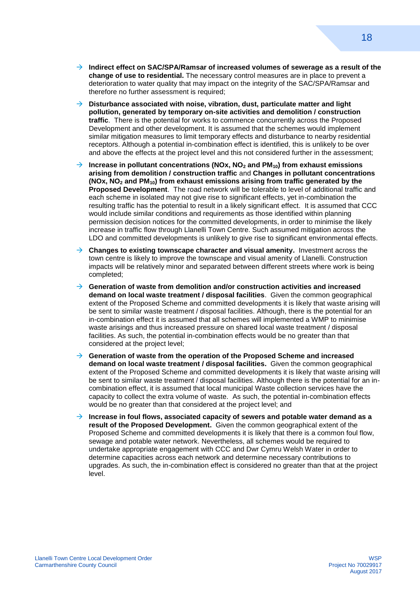- **Indirect effect on SAC/SPA/Ramsar of increased volumes of sewerage as a result of the change of use to residential.** The necessary control measures are in place to prevent a deterioration to water quality that may impact on the integrity of the SAC/SPA/Ramsar and therefore no further assessment is required;
- → Disturbance associated with noise, vibration, dust, particulate matter and light **pollution, generated by temporary on-site activities and demolition / construction traffic**. There is the potential for works to commence concurrently across the Proposed Development and other development. It is assumed that the schemes would implement similar mitigation measures to limit temporary effects and disturbance to nearby residential receptors. Although a potential in-combination effect is identified, this is unlikely to be over and above the effects at the project level and this not considered further in the assessment;
- **Increase in pollutant concentrations (NOx, NO<sup>2</sup> and PM10) from exhaust emissions arising from demolition / construction traffic** and **Changes in pollutant concentrations (NOx, NO<sup>2</sup> and PM10) from exhaust emissions arising from traffic generated by the Proposed Development**. The road network will be tolerable to level of additional traffic and each scheme in isolated may not give rise to significant effects, yet in-combination the resulting traffic has the potential to result in a likely significant effect. It is assumed that CCC would include similar conditions and requirements as those identified within planning permission decision notices for the committed developments, in order to minimise the likely increase in traffic flow through Llanelli Town Centre. Such assumed mitigation across the LDO and committed developments is unlikely to give rise to significant environmental effects.
- **Changes to existing townscape character and visual amenity.** Investment across the town centre is likely to improve the townscape and visual amenity of Llanelli. Construction impacts will be relatively minor and separated between different streets where work is being completed;
- **Generation of waste from demolition and/or construction activities and increased demand on local waste treatment / disposal facilities**. Given the common geographical extent of the Proposed Scheme and committed developments it is likely that waste arising will be sent to similar waste treatment / disposal facilities. Although, there is the potential for an in-combination effect it is assumed that all schemes will implemented a WMP to minimise waste arisings and thus increased pressure on shared local waste treatment / disposal facilities. As such, the potential in-combination effects would be no greater than that considered at the project level;
- **Generation of waste from the operation of the Proposed Scheme and increased demand on local waste treatment / disposal facilities.** Given the common geographical extent of the Proposed Scheme and committed developments it is likely that waste arising will be sent to similar waste treatment / disposal facilities. Although there is the potential for an incombination effect, it is assumed that local municipal Waste collection services have the capacity to collect the extra volume of waste. As such, the potential in-combination effects would be no greater than that considered at the project level; and
- $\rightarrow$  Increase in foul flows, associated capacity of sewers and potable water demand as a **result of the Proposed Development.** Given the common geographical extent of the Proposed Scheme and committed developments it is likely that there is a common foul flow, sewage and potable water network. Nevertheless, all schemes would be required to undertake appropriate engagement with CCC and Dwr Cymru Welsh Water in order to determine capacities across each network and determine necessary contributions to upgrades. As such, the in-combination effect is considered no greater than that at the project level.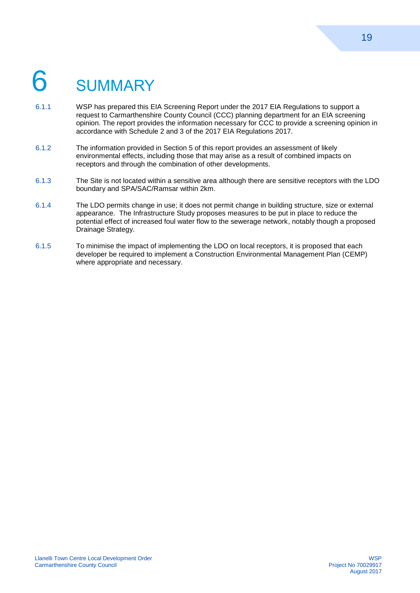# <span id="page-22-0"></span>**SUMMARY**

- 6.1.1 WSP has prepared this EIA Screening Report under the 2017 EIA Regulations to support a request to Carmarthenshire County Council (CCC) planning department for an EIA screening opinion. The report provides the information necessary for CCC to provide a screening opinion in accordance with Schedule 2 and 3 of the 2017 EIA Regulations 2017.
- 6.1.2 The information provided in Section 5 of this report provides an assessment of likely environmental effects, including those that may arise as a result of combined impacts on receptors and through the combination of other developments.
- 6.1.3 The Site is not located within a sensitive area although there are sensitive receptors with the LDO boundary and SPA/SAC/Ramsar within 2km.
- 6.1.4 The LDO permits change in use; it does not permit change in building structure, size or external appearance. The Infrastructure Study proposes measures to be put in place to reduce the potential effect of increased foul water flow to the sewerage network, notably though a proposed Drainage Strategy.
- 6.1.5 To minimise the impact of implementing the LDO on local receptors, it is proposed that each developer be required to implement a Construction Environmental Management Plan (CEMP) where appropriate and necessary.